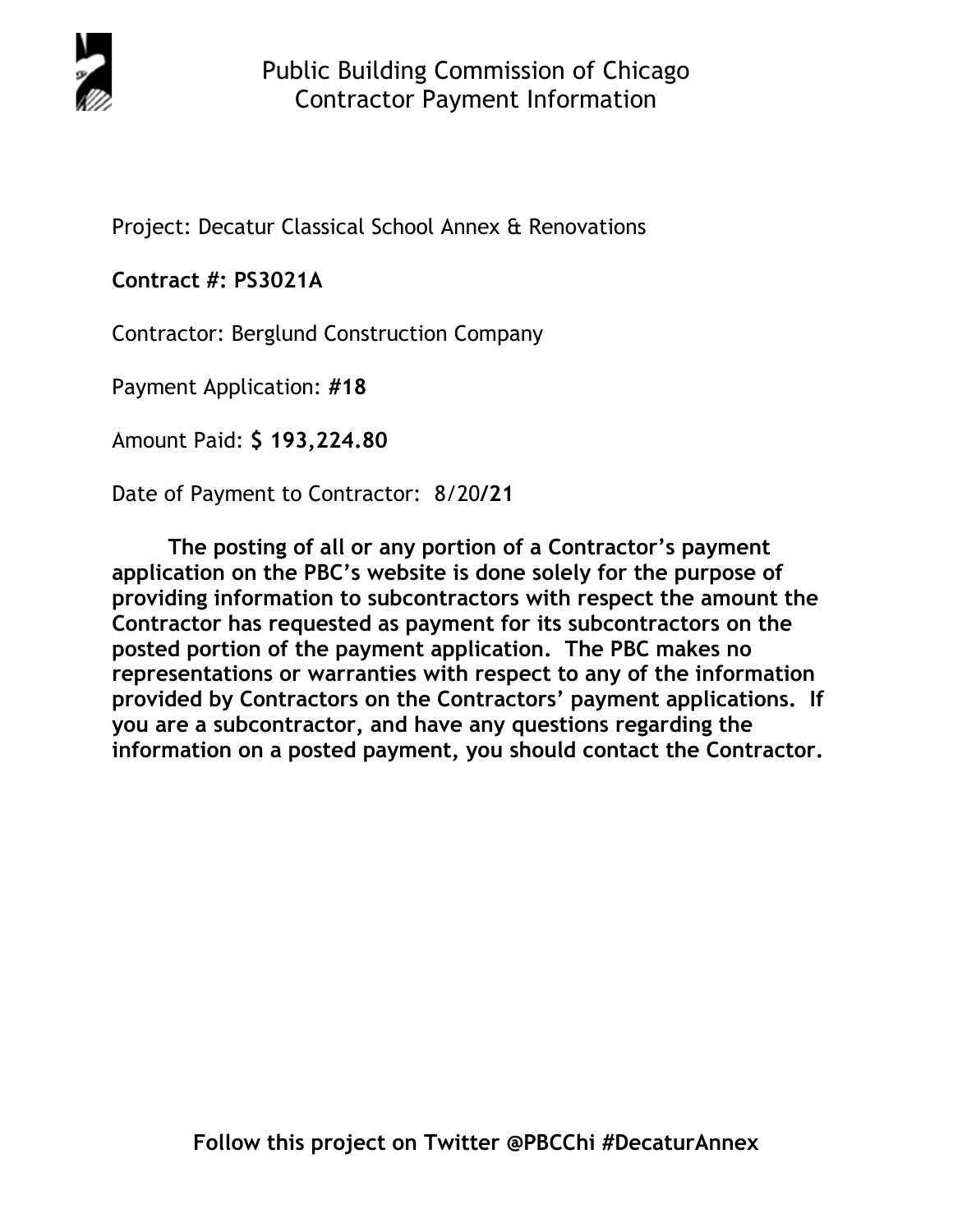

Project: Decatur Classical School Annex & Renovations

## **Contract #: PS3021A**

Contractor: Berglund Construction Company

Payment Application: **#18** 

Amount Paid: **\$ 193,224.80** 

Date of Payment to Contractor: 8/20**/21** 

**The posting of all or any portion of a Contractor's payment application on the PBC's website is done solely for the purpose of providing information to subcontractors with respect the amount the Contractor has requested as payment for its subcontractors on the posted portion of the payment application. The PBC makes no representations or warranties with respect to any of the information provided by Contractors on the Contractors' payment applications. If you are a subcontractor, and have any questions regarding the information on a posted payment, you should contact the Contractor.**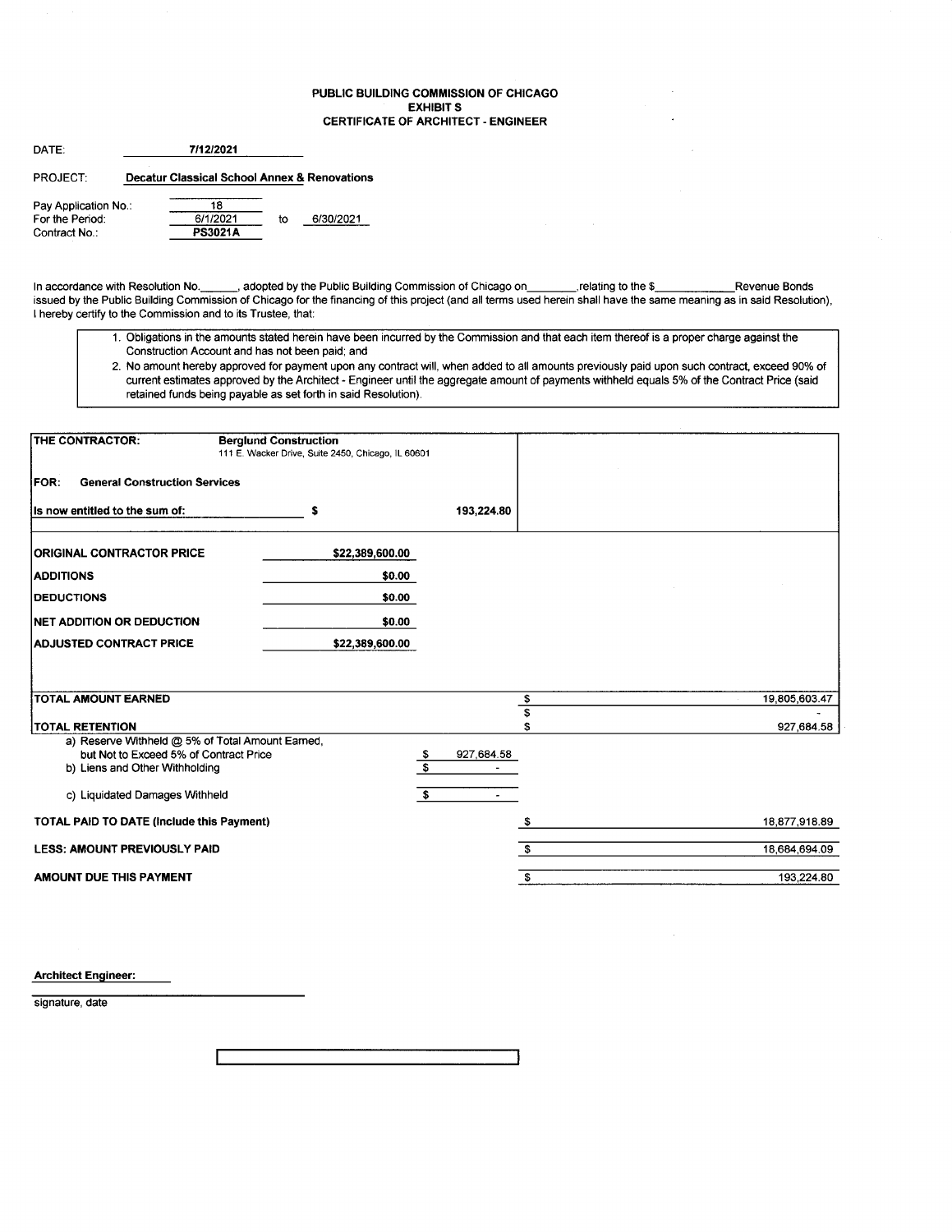#### PUBLIC BUILDING COMMISSION OF CHICAGO EXHIBIT S CERTIFICATE OF ARCHITECT - ENGINEER

| DATE:                |  |                                                         |    |           |
|----------------------|--|---------------------------------------------------------|----|-----------|
| PROJECT:             |  | <b>Decatur Classical School Annex &amp; Renovations</b> |    |           |
| Pay Application No.: |  | 18                                                      |    |           |
| For the Period:      |  | 6/1/2021                                                | to | 6/30/2021 |
| Contract No.:        |  | <b>PS3021A</b>                                          |    |           |

Contract No.:

In accordance with Resolution No. \_\_\_\_\_\_, adopted by the Public Building Commission of Chicago on\_\_\_\_\_\_\_\_relating to the \$\_\_\_\_\_\_\_\_\_\_\_\_\_Revenue Bonds issued by the Public Building Commission of Chicago for the financing of this project (and all terms used herein shall have the same meaning as in said Resolution), I hereby certify to the Commission and to its Trustee, that:

- 1. Obligations in the amounts stated herein have been incurred by the Commission and that each item thereof is a proper charge against the Construction Account and has not been paid; and
- 2. No amount hereby approved for payment upon any contract will, when added to all amounts previously paid upon such contract, exceed 90% of current estimates approved by the Architect - Engineer until the aggregate amount of payments withheld equals 5% of the Contract Price (said retained funds being payable as set forth in said Resolution).

| <b>THE CONTRACTOR:</b>                                                   | <b>Berglund Construction</b><br>111 E. Wacker Drive, Suite 2450, Chicago, IL 60601 |                             |                           |
|--------------------------------------------------------------------------|------------------------------------------------------------------------------------|-----------------------------|---------------------------|
| <b>General Construction Services</b><br><b>IFOR:</b>                     |                                                                                    |                             |                           |
| Is now entitled to the sum of:                                           | s                                                                                  | 193,224.80                  |                           |
| <b>ORIGINAL CONTRACTOR PRICE</b>                                         | \$22,389,600.00                                                                    |                             |                           |
| <b>ADDITIONS</b>                                                         | \$0.00                                                                             |                             |                           |
| <b>DEDUCTIONS</b>                                                        | \$0.00                                                                             |                             |                           |
| NET ADDITION OR DEDUCTION                                                | \$0.00                                                                             |                             |                           |
| <b>ADJUSTED CONTRACT PRICE</b>                                           | \$22,389,600.00                                                                    |                             |                           |
|                                                                          |                                                                                    |                             |                           |
|                                                                          |                                                                                    |                             |                           |
| <b>TOTAL AMOUNT EARNED</b>                                               |                                                                                    |                             | 19,805,603.47<br>\$<br>\$ |
| <b>TOTAL RETENTION</b>                                                   |                                                                                    |                             | \$<br>927,684.58          |
| a) Reserve Withheld @ 5% of Total Amount Earned,                         |                                                                                    |                             |                           |
| but Not to Exceed 5% of Contract Price<br>b) Liens and Other Withholding |                                                                                    | 927,684.58<br>$\frac{3}{3}$ |                           |
|                                                                          |                                                                                    |                             |                           |
| c) Liquidated Damages Withheld                                           |                                                                                    | \$<br>$\blacksquare$        |                           |
| <b>TOTAL PAID TO DATE (Include this Payment)</b>                         |                                                                                    |                             | 18,877,918.89             |
| <b>LESS: AMOUNT PREVIOUSLY PAID</b>                                      |                                                                                    |                             | £.<br>18,684,694.09       |
| <b>AMOUNT DUE THIS PAYMENT</b>                                           |                                                                                    |                             | 193,224.80<br>\$          |

Architect Engineer:

signature, date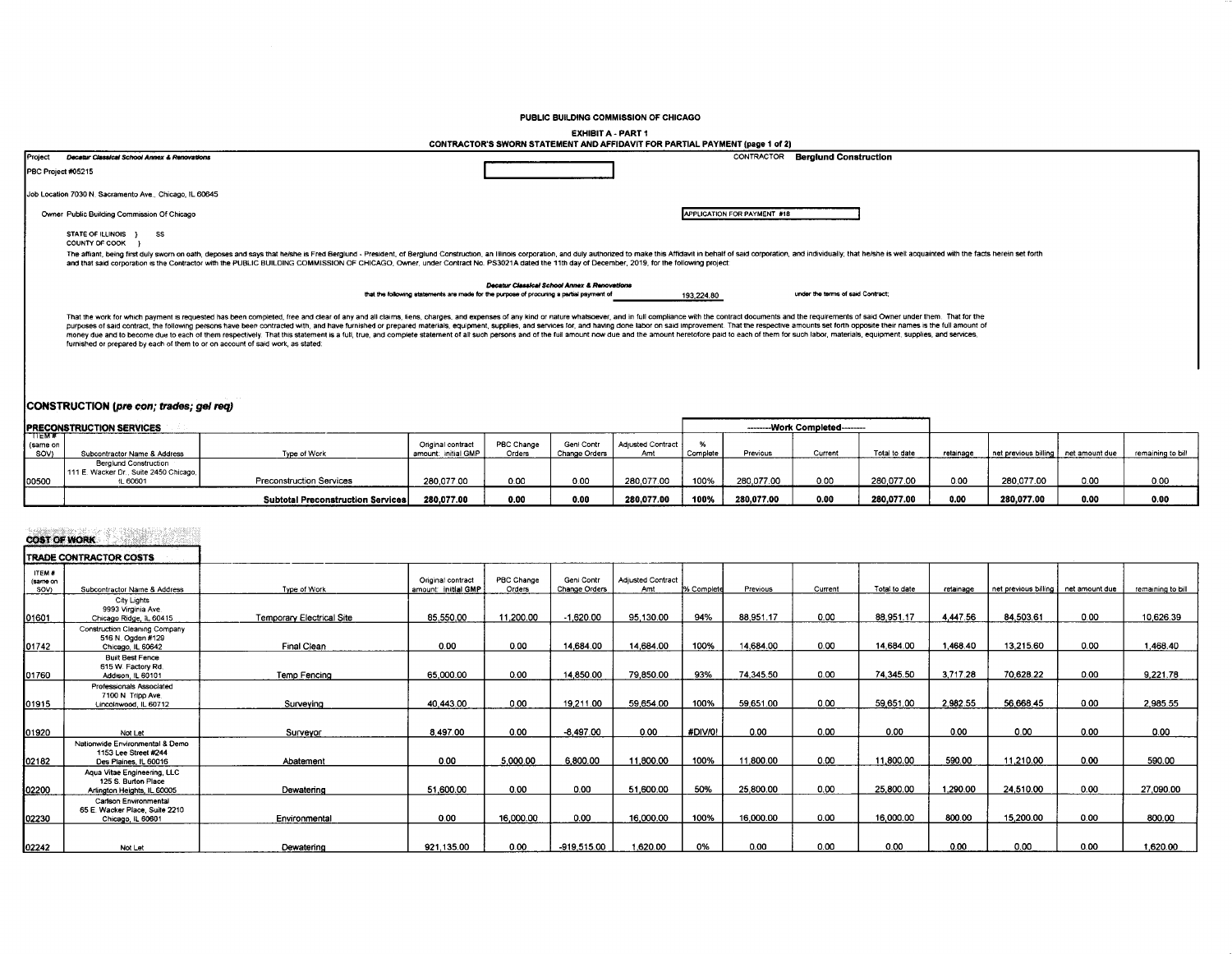PUBLIC BUILDING COMMISSION OF CHICAGO

**EXHIBIT A - PART 1** 

|                             | EANNU I A * FAN I I<br>CONTRACTOR'S SWORN STATEMENT AND AFFIDAVIT FOR PARTIAL PAYMENT (page 1 of 2)                                                                                                                                                                                                                                                                                                                                                                                                                                                                                                                                                                                                                                                                                   |                                 |                                          |                      |                             |                                 |               |                             |                                  |               |           |                                     |      |                   |
|-----------------------------|---------------------------------------------------------------------------------------------------------------------------------------------------------------------------------------------------------------------------------------------------------------------------------------------------------------------------------------------------------------------------------------------------------------------------------------------------------------------------------------------------------------------------------------------------------------------------------------------------------------------------------------------------------------------------------------------------------------------------------------------------------------------------------------|---------------------------------|------------------------------------------|----------------------|-----------------------------|---------------------------------|---------------|-----------------------------|----------------------------------|---------------|-----------|-------------------------------------|------|-------------------|
| Project                     | Decatur Classical School Annex & Renovations                                                                                                                                                                                                                                                                                                                                                                                                                                                                                                                                                                                                                                                                                                                                          |                                 |                                          |                      |                             |                                 |               | CONTRACTOR                  | <b>Berglund Construction</b>     |               |           |                                     |      |                   |
|                             | PBC Project #05215                                                                                                                                                                                                                                                                                                                                                                                                                                                                                                                                                                                                                                                                                                                                                                    |                                 |                                          |                      |                             |                                 |               |                             |                                  |               |           |                                     |      |                   |
|                             | Job Location 7030 N. Sacramento Ave., Chicago, IL 60645                                                                                                                                                                                                                                                                                                                                                                                                                                                                                                                                                                                                                                                                                                                               |                                 |                                          |                      |                             |                                 |               |                             |                                  |               |           |                                     |      |                   |
|                             | Owner Public Building Commission Of Chicago                                                                                                                                                                                                                                                                                                                                                                                                                                                                                                                                                                                                                                                                                                                                           |                                 |                                          |                      |                             |                                 |               | APPLICATION FOR PAYMENT #18 |                                  |               |           |                                     |      |                   |
|                             | STATE OF ILLINOIS }<br>SS<br>COUNTY OF COOK                                                                                                                                                                                                                                                                                                                                                                                                                                                                                                                                                                                                                                                                                                                                           |                                 |                                          |                      |                             |                                 |               |                             |                                  |               |           |                                     |      |                   |
|                             | The affiant, being first duly sworn on oath, deposes and says that he/she is Fred Berglund - President, of Berglund Construction, an Illinois corporation, and duly authorized to make this Affidavit in behalf of said corpor<br>and that said corporation is the Contractor with the PUBLIC BUILDING COMMISSION OF CHICAGO. Owner, under Contract No. PS3021A dated the 11th day of December, 2019, for the following project:                                                                                                                                                                                                                                                                                                                                                      |                                 |                                          |                      |                             |                                 |               |                             |                                  |               |           |                                     |      |                   |
|                             | Decatur Classical School Annex & Renovations<br>under the terms of said Contract:                                                                                                                                                                                                                                                                                                                                                                                                                                                                                                                                                                                                                                                                                                     |                                 |                                          |                      |                             |                                 |               |                             |                                  |               |           |                                     |      |                   |
|                             | that the following statements are made for the purpose of procuring a partial payment of<br>193,224.80                                                                                                                                                                                                                                                                                                                                                                                                                                                                                                                                                                                                                                                                                |                                 |                                          |                      |                             |                                 |               |                             |                                  |               |           |                                     |      |                   |
|                             | That the work for which payment is requested has been completed, free and clear of any and all claims, tiens, charges, and expenses of any kind or nature whatsoever, and in full compliance with the contract documents and t<br>purposes of said contract, the following persons have been contracted with, and have furnished or prepared materials, equipment, supplies, and services for, and having done labor on said improvement. That the respective am<br>money due and to become due to each of them respectively. That this statement is a full, true, and complete statement of all such persons and of the full amount now due and the amount heretofore paid to each of them for su<br>furnished or prepared by each of them to or on account of said work, as stated: |                                 |                                          |                      |                             |                                 |               |                             |                                  |               |           |                                     |      |                   |
|                             |                                                                                                                                                                                                                                                                                                                                                                                                                                                                                                                                                                                                                                                                                                                                                                                       |                                 |                                          |                      |                             |                                 |               |                             |                                  |               |           |                                     |      |                   |
|                             | CONSTRUCTION (pre con; trades; gel req)                                                                                                                                                                                                                                                                                                                                                                                                                                                                                                                                                                                                                                                                                                                                               |                                 |                                          |                      |                             |                                 |               |                             |                                  |               |           |                                     |      |                   |
|                             | <b>IPRECONSTRUCTION SERVICES</b>                                                                                                                                                                                                                                                                                                                                                                                                                                                                                                                                                                                                                                                                                                                                                      |                                 |                                          |                      |                             |                                 |               |                             | --------- Work Completed-------- |               |           |                                     |      |                   |
| $T$ EM#<br>(same on<br>SOV) | Subcontractor Name & Address                                                                                                                                                                                                                                                                                                                                                                                                                                                                                                                                                                                                                                                                                                                                                          | Type of Work                    | Original contract<br>amount: initial GMP | PBC Change<br>Orders | Geni Contr<br>Change Orders | <b>Adjusted Contract</b><br>Amt | %<br>Complete | Previous                    | Current                          | Total to date | retainage | net previous billing net amount due |      | remaining to bill |
| 00500                       | <b>Berglund Construction</b><br>111 E. Wacker Dr., Suite 2450 Chicago.<br>IL 60601                                                                                                                                                                                                                                                                                                                                                                                                                                                                                                                                                                                                                                                                                                    | <b>Preconstruction Services</b> | 280.077.00                               | 0.00                 | 0.00                        | 280.077.00                      | 100%          | 280.077.00                  | 0.00                             | 280.077.00    | 0.00      | 280.077.00                          | 0.00 | 0.00              |

 $0.00$ 

280,077.00

100%

280,077.00

 $0.00$ 

280,077.00

 $0.00$ 

280,077.00

 $0.00$ 

 $0.00$ 

# **COST OF WORK**

00500

Subtotal Preconstruction Services

280,077.00

 $\mathbf{0.00}$ 

|                            | TRADE CONTRACTOR COSTS                                                            |                           |                                          |                      |                                    |                                 |            |           |         |               |           |                      |                |                   |
|----------------------------|-----------------------------------------------------------------------------------|---------------------------|------------------------------------------|----------------------|------------------------------------|---------------------------------|------------|-----------|---------|---------------|-----------|----------------------|----------------|-------------------|
| ITEM #<br>(same on<br>SOV) | Subcontractor Name & Address                                                      | Type of Work              | Original contract<br>amount: initial GMP | PBC Change<br>Orders | Geni Contr<br><b>Change Orders</b> | <b>Adjusted Contract</b><br>Amt | % Complete | Previous  | Current | Total to date | retainage | net previous billing | net amount due | remaining to bill |
| 01601                      | City Lights<br>9993 Virginia Ave.<br>Chicago Ridge, iL 60415                      | Temporary Electrical Site | 85,550.00                                | 1.200.00             | $-1,620.00$                        | 95,130.00                       | 94%        | 88,951.17 | 0.00    | 88,951.17     | 4 447.56  | 84,503.61            | 0.00           | 10,626.39         |
| 01742                      | <b>Construction Cleaning Company</b><br>516 N. Ogden #129<br>Chicago, IL 60642    | Final Clean               | 0.00                                     | 0.00                 | 14,684.00                          | 14,684.00                       | 100%       | 14,684.00 | 0.00    | 14.684.00     | 1,468.40  | 13,215.60            | 0.00           | 1,468.40          |
| 01760                      | <b>Built Best Fence</b><br>615 W. Factory Rd.<br>Addison, IL 60101                | Temp Fencing              | 65,000.00                                | 0.00                 | 14,850.00                          | 79,850.00                       | 93%        | 74,345.50 | 0.00    | 74,345.50     | 3,717.28  | 70.628.22            | 0.00           | 9,221.78          |
| 01915                      | Professionals Associated<br>7100 N. Tripp Ave.<br>Lincolnwood, IL 60712           | Surveying                 | 40.443.00                                | 0.00                 | 19.211.00                          | 59.654.00                       | 100%       | 59.651.00 | 0.00    | 59.651.00     | 2.982.55  | 56.668.45            | 0.00           | 2,985.55          |
| 01920                      | Not Let                                                                           | Surveyor                  | 8,497.00                                 | 0.00                 | $-8,497.00$                        | 0.00                            | #DIV/0!    | 0.00      | 0.00    | 0.00          | 0.00      | 0.00                 | 0.00           | 0.00              |
| 02182                      | Nationwide Environmental & Demo<br>1153 Lee Street #244<br>Des Plaines. IL 60016  | Abatement                 | 0.00                                     | 5,000.00             | 6,800.00                           | 11,800.00                       | 100%       | 11,800.00 | 0.00    | 11,800.00     | 590.00    | 11,210.00            | 0.00           | 590.00            |
| 02200                      | Aqua Vitae Engineering, LLC<br>125 S. Burton Place<br>Arlington Heights, IL 60005 | Dewatering                | 51,600.00                                | 0.00                 | 0.00                               | 51,600.00                       | 50%        | 25,800.00 | 0.00    | 25,800.00     | 1,290.00  | 24,510.00            | 0.00           | 27,090.00         |
| 02230                      | Carlson Environmental<br>65 E. Wacker Place, Suite 2210<br>Chicago, IL 60601      | Environmental             | 0.00                                     | 16,000.00            | 0.00                               | 16,000.00                       | 100%       | 16.000.00 | 0.00    | 16.000.00     | 800.00    | 15,200.00            | 0.00           | 800.00            |
| 02242                      | Not Let                                                                           | Dewatering                | 921.135.00                               | 0.00                 | -919.515.00                        | 1.620.00                        | 0%         | 0.00      | 0.00    | 0.00          | 0.00      | 0.00                 | 0.00           | 1.620.00          |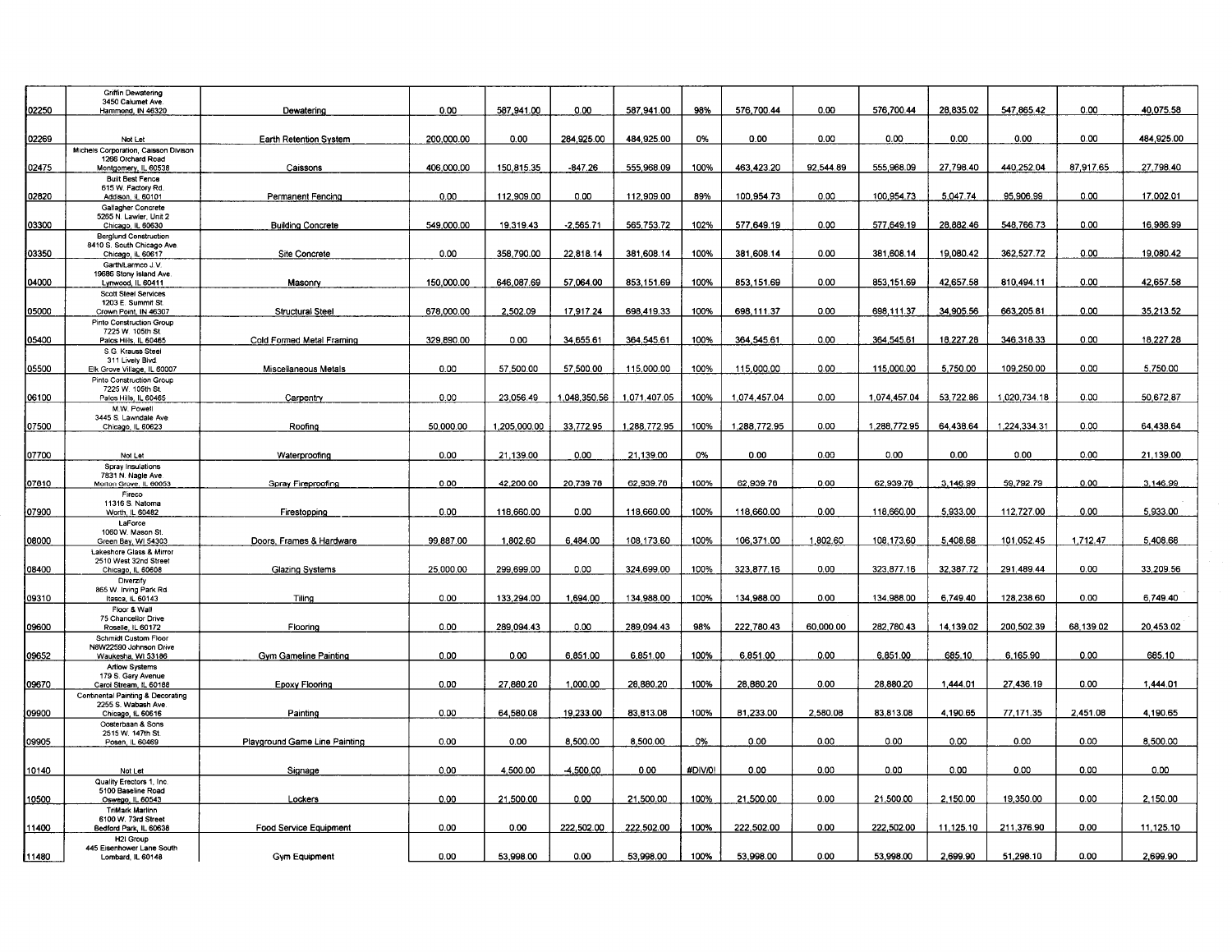|              | <b>Griffin Dewatering</b><br>3450 Calumet Ave.            |                               |            |              |              |              |         |              |           |              |           |              |           |            |
|--------------|-----------------------------------------------------------|-------------------------------|------------|--------------|--------------|--------------|---------|--------------|-----------|--------------|-----------|--------------|-----------|------------|
| 02250        | Hammond, IN 46320                                         | Dewatering                    | 0.00       | 587,941.00   | 0.00         | 587 941 00   | 98%     | 576,700.44   | 0.00      | 576,700.44   | 28,835.02 | 547,865.42   | 0.00      | 40,075.58  |
|              |                                                           |                               |            |              |              |              |         |              |           |              |           |              |           |            |
|              |                                                           |                               |            |              |              |              |         |              |           |              |           |              |           |            |
| 02269        | Not Let                                                   | Earth Retention System        | 200,000.00 | 0.00         | 284,925.00   | 484 925.00   | 0%      | 0.00         | 0.00      | 0.00         | 0.00      | 0.00         | 0.00      | 484,925.00 |
|              | Michels Corporation, Caisson Divison<br>1266 Orchard Road |                               |            |              |              |              |         |              |           |              |           |              |           |            |
| 02475        | Montgomery, IL 60538                                      | Caissons                      | 406,000.00 | 150,815.35   | -847.26      | 555 968 09   | 100%    | 463,423.20   | 92.544.89 | 555.968.09   | 27.798.40 | 440.252.04   | 87.917.65 | 27,798.40  |
|              | <b>Built Best Fence</b>                                   |                               |            |              |              |              |         |              |           |              |           |              |           |            |
|              | 615 W. Factory Rd.                                        |                               |            |              |              |              |         |              |           |              |           |              |           |            |
| 02820        | Addison, IL 60101<br>Gallagher Concrete                   | Permanent Fencing             | 0.00       | 112,909.00   | 0.00         | 112,909.00   | 89%     | 100,954.73   | 0.00      | 100,954.73   | 5.047.74  | 95,906.99    | 0.00      | 17,002.01  |
|              | 5265 N. Lawler, Unit 2                                    |                               |            |              |              |              |         |              |           |              |           |              |           |            |
| 03300        | Chicago, IL 60630                                         | <b>Building Concrete</b>      | 549.000.00 | 19.319.43    | $-2.565.71$  | 565.753.72   | 102%    | 577.649.19   | 0.00      | 577,649.19   | 28.882.46 | 548,766.73   | 0.00      | 16,986.99  |
|              | <b>Berglund Construction</b>                              |                               |            |              |              |              |         |              |           |              |           |              |           |            |
| 03350        | 8410 S. South Chicago Ave.                                | <b>Site Concrete</b>          | 0.00       | 358.790.00   | 22.818.14    | 381,608.14   | 100%    | 381.608.14   | 0.00      | 381,608.14   | 19,080.42 | 362.527.72   | 0.00      | 19,080.42  |
|              | Chicago, IL 60617<br>Garth/Larmco J.V.                    |                               |            |              |              |              |         |              |           |              |           |              |           |            |
|              | 19686 Stony Island Ave                                    |                               |            |              |              |              |         |              |           |              |           |              |           |            |
| 04000        | Lynwood, IL 60411                                         | Masonry                       | 150,000.00 | 646.087.69   | 57.064.00    | 853.151.69   | 100%    | 853.151.69   | 0.00      | 853.151.69   | 42.657.58 | 810.494.11   | 0.00      | 42.657.58  |
|              | <b>Scott Steel Services</b>                               |                               |            |              |              |              |         |              |           |              |           |              |           |            |
| 05000        | 1203 E. Summit St.<br>Crown Point, IN 46307               | <b>Structural Steel</b>       | 678,000.00 | 2.502.09     | 17.917.24    | 698.419.33   | 100%    | 698.111.37   | 0.00      | 698.111.37   | 34.905.56 | 663.205.81   | 0.00      | 35.213.52  |
|              | Pinto Construction Group                                  |                               |            |              |              |              |         |              |           |              |           |              |           |            |
|              | 7225 W. 105th St.                                         |                               |            |              |              |              |         |              |           |              |           |              |           |            |
| 05400        | Palos Hills, IL 60465                                     | Cold Formed Metal Framing     | 329,890.00 | 0.00         | 34,655.61    | 364,545.61   | 100%    | 364,545.61   | 0.00      | 364.545.61   | 18,227.28 | 346.318.33   | 0.00      | 18,227.28  |
|              | S.G. Krauss Steel<br>311 Lively Blvd.                     |                               |            |              |              |              |         |              |           |              |           |              |           |            |
| 05500        | Elk Grove Village, IL 60007                               | Miscellaneous Metals          | 0.00       | 57.500.00    | 57.500.00    | 115,000.00   | 100%    | 115.000.00   | 0.00      | 115.000.00   | 5.750.00  | 109.250.00   | 0.00      | 5.750.00   |
|              | Pinto Construction Group                                  |                               |            |              |              |              |         |              |           |              |           |              |           |            |
|              | 7225 W. 105th St.                                         |                               |            |              |              |              |         |              | 0.00      | 1.074.457.04 | 53.722.86 | 1.020.734.18 |           |            |
| 06100        | Palos Hills IL 60465<br>M.W. Powell                       | Carpentry                     | 0.00       | 23,056.49    | 1.048.350.56 | 1.071.407.05 | 100%    | 1,074,457.04 |           |              |           |              | 0.00      | 50.672.87  |
|              | 3445 S. Lawndale Ave                                      |                               |            |              |              |              |         |              |           |              |           |              |           |            |
| 07500        | Chicago, IL 60623                                         | Roofing                       | 50,000.00  | 1.205.000.00 | 33.772.95    | 1,288,772.95 | 100%    | 1.288.772.95 | 0.00      | 1.288,772.95 | 64.438.64 | 1,224,334.31 | 0.00      | 64.438.64  |
|              |                                                           |                               |            |              |              |              |         |              |           |              |           |              |           |            |
| 07700        |                                                           | Waterproofing                 | 0.00       | 21,139.00    | 0.00         | 21,139.00    | 0%      | 0.00         | 0.00      | 0.00         | 0.00      | 0.00         | 0.00      | 21,139.00  |
|              | Not Let<br>Spray Insulations                              |                               |            |              |              |              |         |              |           |              |           |              |           |            |
|              | 7831 N. Nagle Ave.                                        |                               |            |              |              |              |         |              |           |              |           |              |           |            |
| 07810        | Morton Grove, IL 60053                                    | Spray Fireproofing            | 0.00       | 42,200.00    | 20.739.78    | 62.939.78    | 100%    | 62,939.78    | 0.00      | 62.939.78    | 3.146.99  | 59,792.79    | 0.00      | 3,146.99   |
|              | Fireco                                                    |                               |            |              |              |              |         |              |           |              |           |              |           |            |
| 07900        | 11316 S. Natoma<br>Worth, IL 60482                        | Firestopping                  | 0.00       | 118,660.00   | 0.00         | 118,660.00   | 100%    | 118,660.00   | 0.00      | 118,660.00   | 5.933.00  | 112,727.00   | 0.00      | 5,933.00   |
|              | LaForce                                                   |                               |            |              |              |              |         |              |           |              |           |              |           |            |
|              | 1060 W. Mason St.                                         |                               |            |              |              |              |         |              |           |              |           |              |           |            |
| 08000        | Green Bay, WI 54303                                       | Doors, Frames & Hardware      | 99,887.00  | 1,802.60     | 6,484.00     | 108,173.60   | 100%    | 106 371.00   | 1,802.60  | 108,173.60   | 5,408.68  | 101,052.45   | 1,712.47  | 5,408.68   |
|              | Lakeshore Glass & Mirror<br>2510 West 32nd Street         |                               |            |              |              |              |         |              |           |              |           |              |           |            |
| 08400        | Chicago, IL 60608                                         | Glazing Systems               | 25,000.00  | 299,699.00   | 0.00         | 324,699.00   | 100%    | 323,877.16   | 0.00      | 323,877.16   | 32,387.72 | 291,489.44   | 0.00      | 33,209.56  |
|              | Diverzify                                                 |                               |            |              |              |              |         |              |           |              |           |              |           |            |
|              | 865 W. Irving Park Rd.                                    |                               |            |              |              |              |         |              |           |              |           |              |           |            |
| 09310        | Itasca, IL 60143                                          | Tiling                        | 0.00       | 133,294.00   | 1,694.00     | 134,988.00   | 100%    | 134,988.00   | 0.00      | 134,988.00   | 6,749.40  | 128.238.60   | 0.00      | 6,749.40   |
|              | Floor & Wall<br>75 Chancellor Drive                       |                               |            |              |              |              |         |              |           |              |           |              |           |            |
| 09600        | Roselle, IL 60172                                         | Flooring                      | 0.00       | 289.094.43   | 0.00         | 289.094.43   | 98%     | 222,780.43   | 60,000.00 | 282,780.43   | 14,139.02 | 200,502.39   | 68,139.02 | 20.453.02  |
|              | <b>Schmidt Custom Floor</b>                               |                               |            |              |              |              |         |              |           |              |           |              |           |            |
| 09652        | N8W22590 Johnson Drive<br>Waukesha, WI 53186              | Gym Gameline Painting         | 0.00       | 0.00         | 6,851.00     | 6,851.00     | 100%    | 6,851.00     | 0.00      | 6,851.00     | 685.10    | 6,165.90     | 0.00      | 685.10     |
|              | <b>Artiow Systems</b>                                     |                               |            |              |              |              |         |              |           |              |           |              |           |            |
|              | 179 S. Gary Avenue                                        |                               |            |              |              |              |         |              |           |              |           |              |           |            |
| 09670        | Carol Stream, IL 60188                                    | Epoxy Flooring                | 0.00       | 27,880.20    | 1,000.00     | 28,880.20    | 100%    | 28,880.20    | 0.00      | 28,880.20    | 1,444.01  | 27,436.19    | 0.00      | 1,444.01   |
|              | Continental Painting & Decorating                         |                               |            |              |              |              |         |              |           |              |           |              |           |            |
| <b>09900</b> | 2255 S. Wabash Ave.<br>Chicago, IL 60616                  | Painting                      | 0.00       | 64,580.08    | 19.233.00    | 83.813.08    | 100%    | 81.233.00    | 2,580.08  | 83.813.08    | 4.190.65  | 77.171.35    | 2.451.08  | 4,190.65   |
|              | Oosterbaan & Sons                                         |                               |            |              |              |              |         |              |           |              |           |              |           |            |
|              | 2515 W. 147th St.                                         |                               |            |              |              |              |         |              |           |              |           |              |           |            |
| 09905        | Posen, IL 60469                                           | Playground Game Line Painting | 0.00       | 0.00         | 8,500.00     | 8,500.00     | 0%      | 0.00         | 0.00      | 0.00         | 0.00      | 0.00         | 0.00      | 8,500.00   |
|              |                                                           |                               |            |              |              |              |         |              |           |              |           |              |           |            |
| 10140        | Not Let                                                   | Signage                       | 0.00       | 4.500.00     | 4,500.00     | 0.00         | #DIV/0! | 0.00         | 0.00      | 0.00         | 0.00      | 0.00         | 0.00      | 0.00       |
|              | Quality Erectors 1, Inc.                                  |                               |            |              |              |              |         |              |           |              |           |              |           |            |
|              | 5100 Baseline Road                                        | Lockers                       | 0.00       | 21,500.00    | 0.00         | 21,500.00    | 100%    | 21.500.00    | 0.00      | 21,500.00    | 2.150.00  | 19,350.00    | 0.00      | 2.150.00   |
| 10500        | Oswego, IL 60543<br><b>TriMark Marlinn</b>                |                               |            |              |              |              |         |              |           |              |           |              |           |            |
|              | 6100 W. 73rd Street                                       |                               |            |              |              |              |         |              |           |              |           |              |           |            |
| 11400        | Bedford Park, IL 60638                                    | <b>Food Service Equipment</b> | 0.00       | 0.00         | 222 502 00   | 222,502.00   | 100%    | 222,502.00   | 0.00      | 222,502.00   | 11,125.10 | 211,376.90   | 0.00      | 11,125.10  |
|              | H <sub>2</sub> I Group                                    |                               |            |              |              |              |         |              |           |              |           |              |           |            |
| 11480        | 445 Eisenhower Lane South<br>Lombard, IL 60148            | <b>Gym Equipment</b>          | 0.00       | 53,998.00    | 0.00         | 53,998.00    | 100%    | 53,998.00    | 0.00      | 53,998.00    | 2,699.90  | 51,298.10    | 0.00      | 2,699.90   |
|              |                                                           |                               |            |              |              |              |         |              |           |              |           |              |           |            |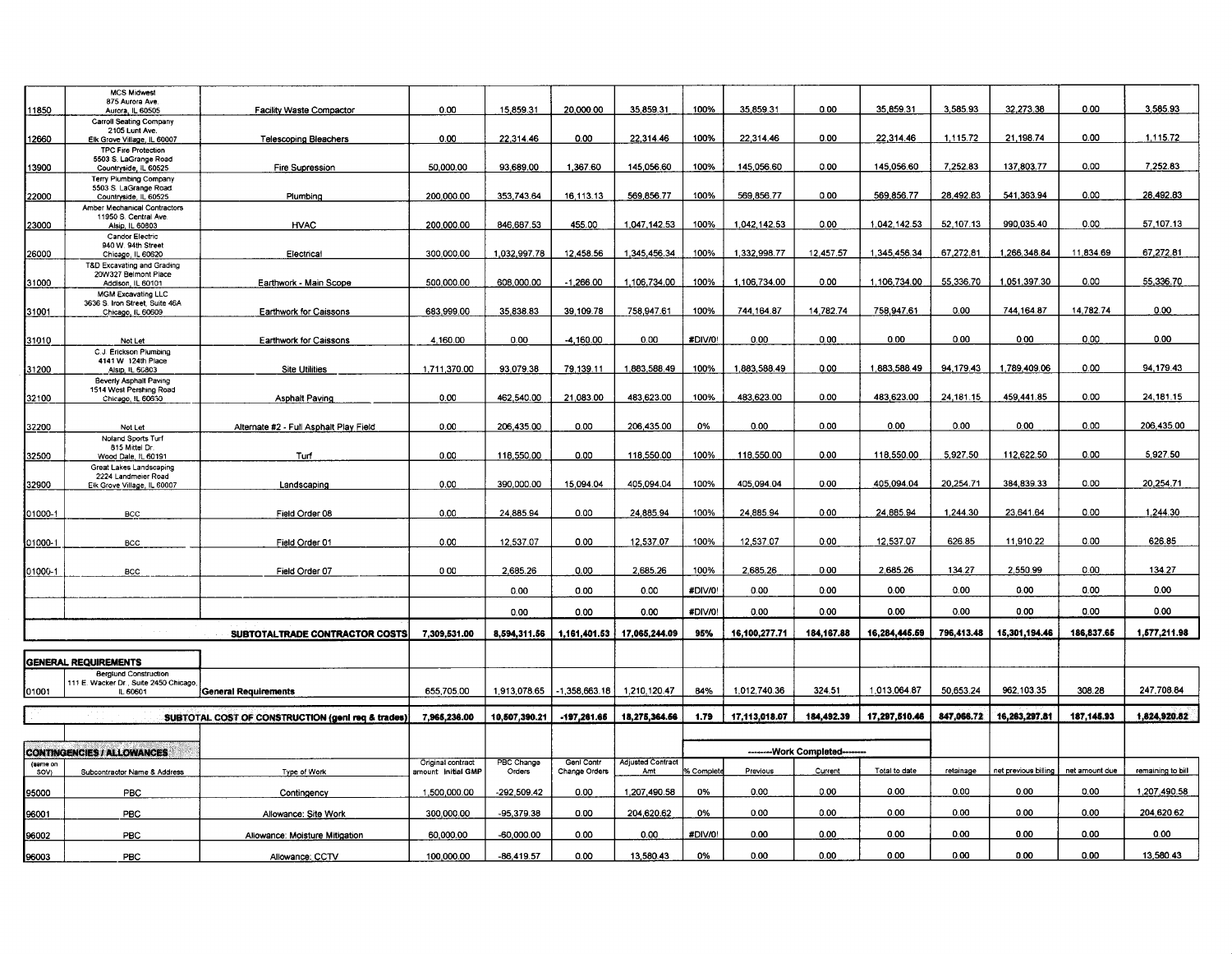|                  | <b>MCS Midwest</b><br>875 Aurora Ave.                                             |                                                   | 0.00                                     | 15,859.31            | 20,000.00                   | 35,859.31                       | 100%      | 35,859.31     | 0.00                         | 35,859.31     | 3,585.93   | 32,273.38            | 0.00           | 3,585.93          |
|------------------|-----------------------------------------------------------------------------------|---------------------------------------------------|------------------------------------------|----------------------|-----------------------------|---------------------------------|-----------|---------------|------------------------------|---------------|------------|----------------------|----------------|-------------------|
| 11850            | Aurora, IL 60505<br>Carroll Seating Company                                       | <b>Facility Waste Compactor</b>                   |                                          |                      |                             |                                 |           |               |                              |               |            |                      |                |                   |
| 12660            | 2105 Lunt Ave.<br>Elk Grove Village, IL 60007                                     | <b>Telescoping Bleachers</b>                      | 0.00                                     | 22,314.46            | 0.00                        | 22,314.46                       | 100%      | 22,314.46     | 0.00                         | 22.314.46     | 1,115.72   | 21.198.74            | 0.00           | 1,115.72          |
| 13900            | <b>TPC Fire Protection</b><br>5503 S. LaGrange Road<br>Countryside, IL 60525      | Fire Supression                                   | 50,000.00                                | 93,689.00            | 1.367.60                    | 145.056.60                      | 100%      | 145,056.60    | 0.00                         | 145,056.60    | 7,252.83   | 137,803.77           | 0.00           | 7.252.83          |
|                  | <b>Terry Plumbing Company</b><br>5503 S. LaGrange Road.                           |                                                   |                                          |                      |                             |                                 |           | 569,856.77    | 0.00                         | 569,856.77    | 28,492.83  | 541.363.94           | 0.00           | 28,492.83         |
| 22000            | Countryside, IL 60525<br>Amber Mechanical Contractors                             | Plumbing                                          | 200,000.00                               | 353.743.64           | 16.113.13                   | 569.856.77                      | 100%      |               |                              |               |            |                      |                |                   |
| 23000            | 11950 S. Central Ave.<br>Alsip, IL 60803<br><b>Candor Electric</b>                | <b>HVAC</b>                                       | 200,000.00                               | 846,687.53           | 455.00                      | 1,047,142.53                    | 100%      | 1,042,142.53  | 0.00                         | 1.042.142.53  | 52,107.13  | 990,035.40           | 0.00           | 57,107.13         |
| 26000            | 940 W. 94th Street<br>Chicago, IL 60620                                           | Electrical                                        | 300,000.00                               | 1,032,997.78         | 12,458.56                   | 1.345.456.34                    | 100%      | 1.332.998.77  | 12.457.57                    | 1,345,456.34  | 67,272.81  | 1,266,348.84         | 11,834.69      | 67,272.81         |
| 31000            | T&D Excavating and Grading<br>20W327 Belmont Place<br>Addison, IL 60101           | Earthwork - Main Scope                            | 500.000.00                               | 608,000.00           | $-1,266.00$                 | 1,106,734.00                    | 100%      | 1,106,734.00  | 0.00                         | 1,106,734.00  | 55,336.70  | 1,051,397.30         | 0.00           | 55,336.70         |
| 31001            | MGM Excavating LLC<br>3636 S. Iron Street, Suite 46A<br>Chicago, IL 60609         | <b>Earthwork for Caissons</b>                     | 683,999.00                               | 35.838.83            | 39,109.78                   | 758,947.61                      | 100%      | 744.164.87    | 14.782.74                    | 758.947.61    | 0.00       | 744.164.87           | 14,782.74      | 0.00              |
| 31010            | Not Let                                                                           | Earthwork for Caissons                            | 4,160.00                                 | 0.00                 | $-4.160.00$                 | 0.00                            | #DIV/0!   | 0.00          | 0.00                         | 0.00          | 0.00       | 0.00                 | 0.00           | 0.00              |
|                  | C.J. Erickson Plumbing<br>4141 W 124th Place                                      |                                                   |                                          |                      |                             |                                 |           |               |                              |               |            |                      |                |                   |
| 31200            | Alsip, IL 60803<br><b>Beverly Asphalt Paving</b><br>1514 West Pershing Road       | <b>Site Utilities</b>                             | 1,711,370.00                             | 93.079.38            | 79,139.11                   | 1,883,588.49                    | 100%      | 1,883,588.49  | 0.00                         | 1,883,588.49  | 94.179.43  | 1,789,409.06         | 0.00           | 94.179.43         |
| 32100            | Chicago, IL 60630                                                                 | Asphalt Paving                                    | 0.00                                     | 462,540.00           | 21,083.00                   | 483,623.00                      | 100%      | 483,623.00    | 0.00                         | 483,623.00    | 24,181.15  | 459.441.85           | 0.00           | 24, 181.15        |
| 32200            | Not Let                                                                           | Alternate #2 - Full Asphalt Play Field            | 0.00                                     | 206,435.00           | 0.00                        | 206,435.00                      | 0%        | 0.00          | 0.00                         | 0.00          | 0.00       | 0.00                 | 0.00           | 206.435.00        |
| 32500            | Noland Sports Turf<br>815 Mittel Dr.<br>Wood Dale, IL 60191                       | Turf                                              | 0.00                                     | 118,550.00           | 0.00                        | 118,550.00                      | 100%      | 118,550.00    | 0.00                         | 118,550.00    | 5.927.50   | 112.622.50           | 0.00           | 5,927.50          |
| 32900            | Great Lakes Landscaping<br>2224 Landmeier Road<br>Elk Grove Village, IL 60007     | Landscaping                                       | 0.00                                     | 390,000.00           | 15,094.04                   | 405.094.04                      | 100%      | 405 094 04    | 0.00                         | 405,094.04    | 20,254.71  | 384,839.33           | 0.00           | 20,254.71         |
|                  |                                                                                   |                                                   |                                          |                      |                             |                                 |           |               |                              | 24.885.94     | 1,244.30   |                      | 0.00           | 1,244.30          |
| 01000-1          | BCC                                                                               | Field Order 08                                    | 0.00                                     | 24,885.94            | 0.00                        | 24,885.94                       | 100%      | 24,885.94     | 0.00                         |               |            | 23,641.64            |                |                   |
| 01000-1          | BCC                                                                               | Field Order 01                                    | 0.00                                     | 12.537.07            | 0.00                        | 12,537.07                       | 100%      | 12,537.07     | 0.00                         | 12,537.07     | 626.85     | 11,910.22            | 0.00           | 626.85            |
| 01000-1          | BCC                                                                               | Field Order 07                                    | 000                                      | 2,685.26             | 0.00                        | 2,685.26                        | 100%      | 2,685.26      | 0.00                         | 2,685.26      | 134.27     | 2,550.99             | 0.00           | 134.27            |
|                  |                                                                                   |                                                   |                                          | 0.00                 | 0.00                        | 0.00                            | #DIV/0!   | 0.00          | 0.00                         | 0.00          | 0.00       | 0.00                 | 0.00           | 0.00              |
|                  |                                                                                   |                                                   |                                          | 0.00                 | 0.00                        | 0.00                            | #DIV/0!   | 0.00          | 0.00                         | 0.00          | 0.00       | 0.00                 | 0.00           | 0.00              |
|                  |                                                                                   | SUBTOTALTRADE CONTRACTOR COSTS                    | 7,309,531.00                             | 8,594,311.56         | 1,161,401.53                | 17,065,244.09                   | 95%       | 16,100,277.71 | 184, 167.88                  | 16,284,445.59 | 796,413.48 | 15,301,194.46        | 186,837.65     | 1,577,211.98      |
|                  | <b>GENERAL REQUIREMENTS</b>                                                       |                                                   |                                          |                      |                             |                                 |           |               |                              |               |            |                      |                |                   |
| 01001            | <b>Berglund Construction</b><br>111 E. Wacker Dr., Suite 2450 Chicago<br>IL 60601 | <b>General Requirements</b>                       | 655,705.00                               | 1,913,078.65         | $-1,358,663.18$             | 1,210,120.47                    | 84%       | 1,012.740.36  | 324.51                       | 1,013,064.87  | 50,653.24  | 962,103.35           | 308.28         | 247,708.84        |
|                  |                                                                                   | SUBTOTAL COST OF CONSTRUCTION (geni req & trades) | 7,965,236.00                             | 10,507,390.21        | $-197,281.66$               | 18,275,364.66                   | 1.79      | 17,113,018.07 | 184,492.39                   | 17,297,510.46 | 847,066.72 | 16,263,297.81        | 187,145.93     | 1,824,920.82      |
|                  |                                                                                   |                                                   |                                          |                      |                             |                                 |           |               |                              |               |            |                      |                |                   |
|                  | <b>CONTINGENCIES / ALLOWANCES</b>                                                 |                                                   |                                          |                      |                             |                                 |           |               | --------Work Completed------ |               |            |                      |                |                   |
| (same on<br>SOV) | Subcontractor Name & Address                                                      | Type of Work                                      | Original contract<br>amount: initial GMP | PBC Change<br>Orders | Genl Contr<br>Change Orders | <b>Adjusted Contract</b><br>Amt | % Complet | Previous      | Current                      | Total to date | retainage  | net previous billing | net amount due | remaining to bill |
| 95000            | PBC                                                                               | Contingency                                       | 1,500,000.00                             | -292,509.42          | 0.00                        | 1,207,490.58                    | 0%        | 0.00          | 0.00                         | 0.00          | 0.00       | 0.00                 | 0.00           | 1,207,490.58      |
| 96001            | PBC                                                                               | Allowance: Site Work                              | 300,000.00                               | -95,379.38           | 0.00                        | 204,620.62                      | 0%        | 0.00          | 0.00                         | 0.00          | 0.00       | 0.00                 | 0.00           | 204,620.62        |
| <u>96002 </u>    | PBC                                                                               | Allowance: Moisture Mitigation                    | 60,000.00                                | -60,000.00           | 0.00                        | 0.00                            | #DIV/0!   | 0.00          | 0.00                         | 0.00          | 0.00       | 0.00                 | 0.00           | 0.00              |
| 96003            | PBC                                                                               | Allowance: CCTV                                   | 100.000.00                               | $-86.419.57$         | 0.00                        | 13,580.43                       | 0%        | 0.00          | 0.00                         | 0.00          | 0.00       | 0.00                 | 0.00           | 13.580.43         |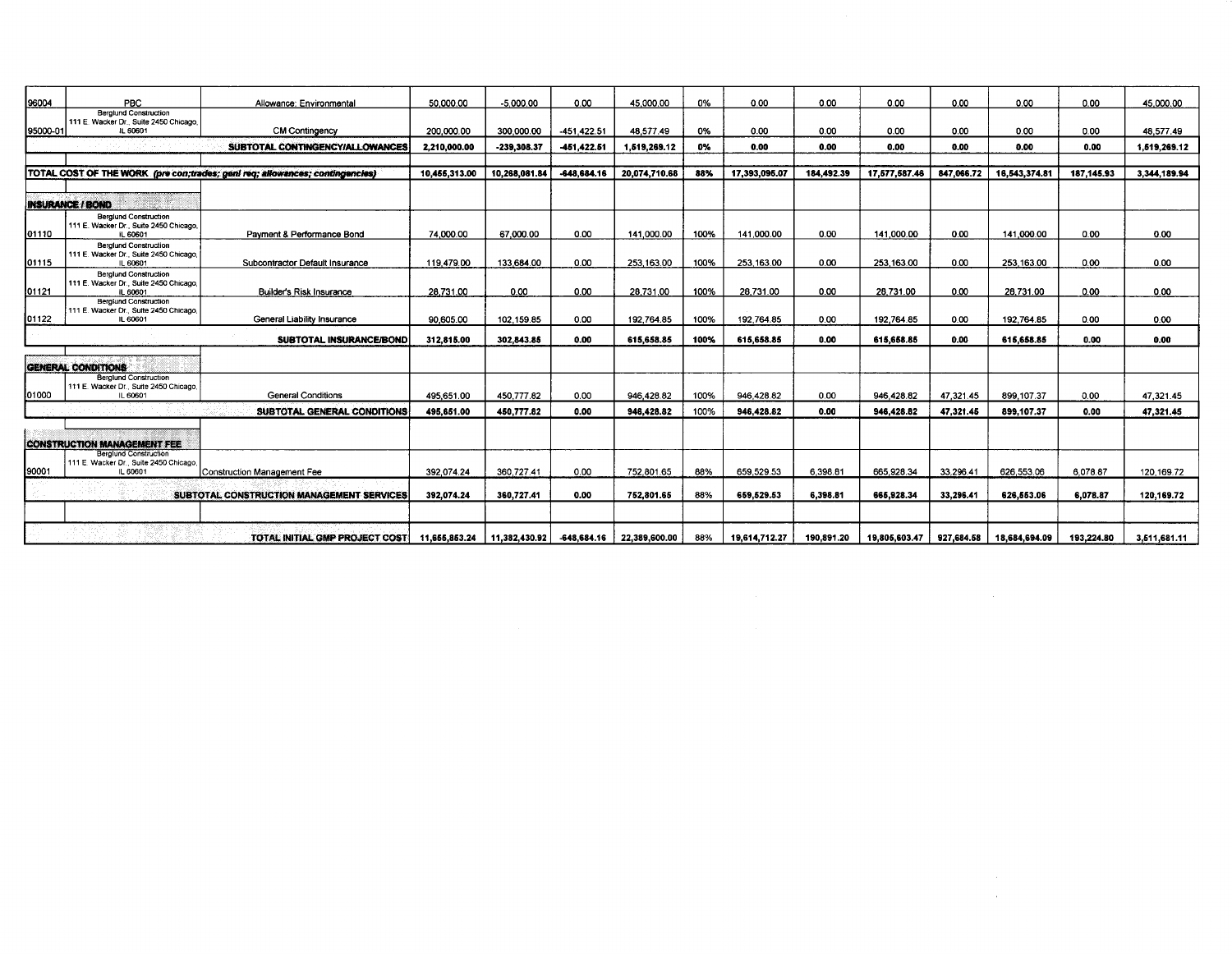| 96004    | PBC                                                                                | Allowance: Environmental                                                     | 50.000.00     | $-5.000.00$   | 0.00          | 45.000.00                               | 0%   | 0.00          | 0.00       | 0.00          | 0.00       | 0.00          | 0.00       | 45.000.00    |
|----------|------------------------------------------------------------------------------------|------------------------------------------------------------------------------|---------------|---------------|---------------|-----------------------------------------|------|---------------|------------|---------------|------------|---------------|------------|--------------|
| 95000-01 | <b>Berglund Construction</b><br>111 E. Wacker Dr., Suite 2450 Chicago,<br>IL 60601 | <b>CM Contingency</b>                                                        | 200,000.00    | 300.000.00    | -451.422.51   | 48.577.49                               | 0%   | 0.00          | 0.00       | 0.00          | 0.00       | 0.00          | 0.00       | 48.577.49    |
|          |                                                                                    | SUBTOTAL CONTINGENCY/ALLOWANCES                                              | 2,210,000.00  | $-239,308.37$ | -451,422.51   | 1,519,269.12                            | 0%   | 0.00          | 0.00       | 0.00          | 0.00       | 0.00          | 0.00       | 1,519,269.12 |
|          |                                                                                    |                                                                              |               |               |               |                                         |      |               |            |               |            |               |            |              |
|          |                                                                                    | TOTAL COST OF THE WORK (pre con;trades; geni req; allowances; contingencies) | 10,455,313.00 | 10,268,081.84 | $-648,684.16$ | 20.074.710.68                           | 88%  | 17,393,095.07 | 184,492.39 | 17,577,587.46 | 847,066.72 | 16,543,374.81 | 187,145.93 | 3,344,189.94 |
|          |                                                                                    |                                                                              |               |               |               |                                         |      |               |            |               |            |               |            |              |
|          | <b>INSURANCE / BOND</b>                                                            |                                                                              |               |               |               |                                         |      |               |            |               |            |               |            |              |
| 01110    | <b>Bergiund Construction</b><br>111 E. Wacker Dr., Suite 2450 Chicago,<br>IL 60601 | Payment & Performance Bond                                                   | 74.000.00     | 67,000.00     | 0.00          | 141,000.00                              | 100% | 141,000.00    | 0.00       | 141.000.00    | 0.00       | 141,000.00    | 0.00       | 0.00         |
| 01115    | <b>Berglund Construction</b><br>111 E. Wacker Dr., Suite 2450 Chicago,<br>IL 60601 | Subcontractor Default Insurance                                              | 119,479.00    | 133,684.00    | 0.00          | 253,163.00                              | 100% | 253.163.00    | 0.00       | 253.163.00    | 0.00       | 253.163.00    | 0.00       | 0.00         |
| 01121    | <b>Berglund Construction</b><br>111 E. Wacker Dr., Suite 2450 Chicago,<br>IL 60601 | Builder's Risk Insurance                                                     | 28.731.00     | 0.00          | 0.00          | 28.731.00                               | 100% | 28,731.00     | 0.00       | 28.731.00     | 0.00       | 28,731.00     | 0.00       | 0.00         |
| 01122    | <b>Berglund Construction</b><br>111 E. Wacker Dr., Suite 2450 Chicago.<br>IL 60601 | General Liability Insurance                                                  | 90.605.00     | 102.159.85    | 0.00          | 192,764.85                              | 100% | 192,764.85    | 0.00       | 192,764.85    | 0.00       | 192,764.85    | 0.00       | 0.00         |
|          |                                                                                    | SUBTOTAL INSURANCE/BOND                                                      | 312,815.00    | 302.843.85    | 0.00          | 615.658.85                              | 100% | 615,658.85    | 0.00       | 615,658.85    | 0.00       | 615.658.85    | 0.00       | 0.00         |
|          | <b>GENERAL CONDITIONS</b>                                                          |                                                                              |               |               |               |                                         |      |               |            |               |            |               |            |              |
| 01000    | <b>Berglund Construction</b><br>111 E. Wacker Dr., Suite 2450 Chicago,<br>IL 60601 | <b>General Conditions</b>                                                    | 495,651.00    | 450.777.82    | 0.00          | 946.428.82                              | 100% | 946.428.82    | 0.00       | 946.428.82    | 47.321.45  | 899,107.37    | 0.00       | 47,321.45    |
|          |                                                                                    | SUBTOTAL GENERAL CONDITIONS                                                  | 495,651.00    | 450,777.82    | 0.00          | 946,428.82                              | 100% | 946,428.82    | 0.00       | 946.428.82    | 47,321.45  | 899,107.37    | 0.00       | 47.321.45    |
|          |                                                                                    |                                                                              |               |               |               |                                         |      |               |            |               |            |               |            |              |
|          | <b>CONSTRUCTION MANAGEMENT FEE</b>                                                 |                                                                              |               |               |               |                                         |      |               |            |               |            |               |            |              |
| 90001    | <b>Berglund Construction</b><br>111 E. Wacker Dr., Suite 2450 Chicago.<br>IL 60601 | Construction Management Fee                                                  | 392,074.24    | 360.727.41    | 0.00          | 752.801.65                              | 88%  | 659.529.53    | 6,398.81   | 665,928.34    | 33,296.41  | 626.553.06    | 6.078.87   | 120,169.72   |
|          |                                                                                    | SUBTOTAL CONSTRUCTION MANAGEMENT SERVICES                                    | 392,074.24    | 360,727.41    | 0.00          | 752,801.65                              | 88%  | 659.529.53    | 6,398.81   | 665,928.34    | 33.296.41  | 626.553.06    | 6.078.87   | 120,169.72   |
|          |                                                                                    |                                                                              |               |               |               |                                         |      |               |            |               |            |               |            |              |
|          |                                                                                    | TOTAL INITIAL GMP PROJECT COST   11,655,853.24                               |               |               |               | 11,382,430.92 -648,684.16 22,389,600.00 | 88%  | 19,614,712.27 | 190,891.20 | 19,805,603.47 | 927,684.58 | 18,684,694.09 | 193,224.80 | 3,511,681.11 |

 $\mathcal{L}^{\text{max}}_{\text{max}}$  ,  $\mathcal{L}^{\text{max}}_{\text{max}}$